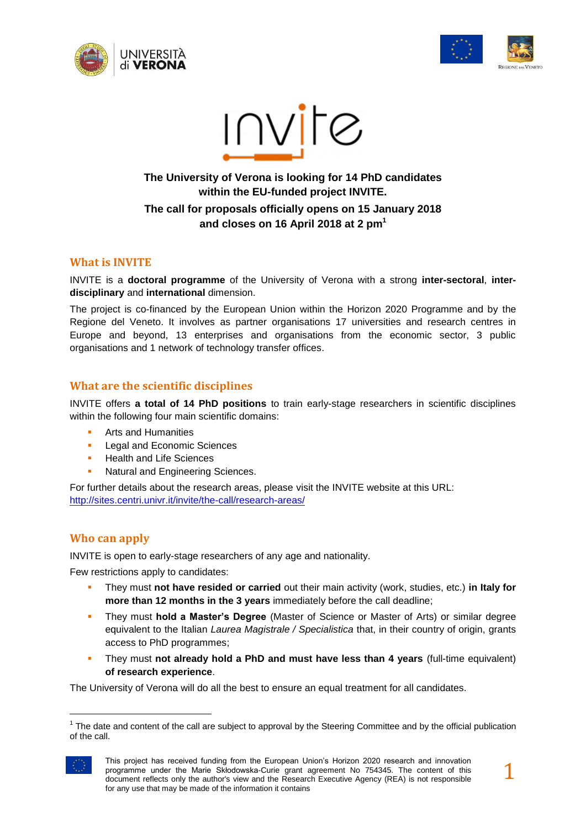





# **The University of Verona is looking for 14 PhD candidates within the EU-funded project INVITE. The call for proposals officially opens on 15 January 2018 and closes on 16 April 2018 at 2 pm<sup>1</sup>**

#### **What is INVITE**

INVITE is a **doctoral programme** of the University of Verona with a strong **inter-sectoral**, **interdisciplinary** and **international** dimension.

The project is co-financed by the European Union within the Horizon 2020 Programme and by the Regione del Veneto. It involves as partner organisations 17 universities and research centres in Europe and beyond, 13 enterprises and organisations from the economic sector, 3 public organisations and 1 network of technology transfer offices.

## **What are the scientific disciplines**

INVITE offers **a total of 14 PhD positions** to train early-stage researchers in scientific disciplines within the following four main scientific domains:

- Arts and Humanities
- **Legal and Economic Sciences**
- Health and Life Sciences
- **Natural and Engineering Sciences.**

For further details about the research areas, please visit the INVITE website at this URL: <http://sites.centri.univr.it/invite/the-call/research-areas/>

## **Who can apply**

INVITE is open to early-stage researchers of any age and nationality.

Few restrictions apply to candidates:

- They must **not have resided or carried** out their main activity (work, studies, etc.) **in Italy for more than 12 months in the 3 years** immediately before the call deadline;
- They must **hold a Master's Degree** (Master of Science or Master of Arts) or similar degree equivalent to the Italian *Laurea Magistrale / Specialistica* that, in their country of origin, grants access to PhD programmes;
- They must **not already hold a PhD and must have less than 4 years** (full-time equivalent) **of research experience**.

The University of Verona will do all the best to ensure an equal treatment for all candidates.

 $1$  The date and content of the call are subject to approval by the Steering Committee and by the official publication of the call.



l

This project has received funding from the European Union's Horizon 2020 research and innovation programme under the Marie Skłodowska-Curie grant agreement No 754345. The content of this document reflects only the author's view and the Research Executive Agency (REA) is not responsible for any use that may be made of the information it contains